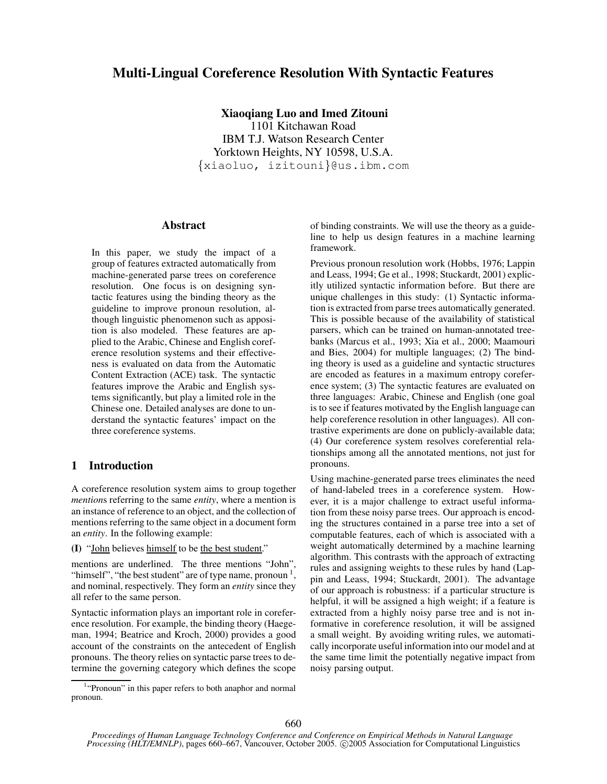# **Multi-Lingual Coreference Resolution With Syntactic Features**

## **Xiaoqiang Luo and Imed Zitouni**

1101 Kitchawan Road IBM T.J. Watson Research Center Yorktown Heights, NY 10598, U.S.A. {xiaoluo, izitouni}@us.ibm.com

### **Abstract**

In this paper, we study the impact of a group of features extracted automatically from machine-generated parse trees on coreference resolution. One focus is on designing syntactic features using the binding theory as the guideline to improve pronoun resolution, although linguistic phenomenon such as apposition is also modeled. These features are applied to the Arabic, Chinese and English coreference resolution systems and their effectiveness is evaluated on data from the Automatic Content Extraction (ACE) task. The syntactic features improve the Arabic and English systems significantly, but play a limited role in the Chinese one. Detailed analyses are done to understand the syntactic features' impact on the three coreference systems.

### **1 Introduction**

A coreference resolution system aims to group together *mention*s referring to the same *entity*, where a mention is an instance of reference to an object, and the collection of mentions referring to the same object in a document form an *entity*. In the following example:

**(I)** "John believes himself to be the best student."

mentions are underlined. The three mentions "John", "himself", "the best student" are of type name, pronoun  $<sup>1</sup>$ ,</sup> and nominal, respectively. They form an *entity* since they all refer to the same person.

Syntactic information plays an important role in coreference resolution. For example, the binding theory (Haegeman, 1994; Beatrice and Kroch, 2000) provides a good account of the constraints on the antecedent of English pronouns. The theory relies on syntactic parse trees to determine the governing category which defines the scope of binding constraints. We will use the theory as a guideline to help us design features in a machine learning framework.

Previous pronoun resolution work (Hobbs, 1976; Lappin and Leass, 1994; Ge et al., 1998; Stuckardt, 2001) explicitly utilized syntactic information before. But there are unique challenges in this study: (1) Syntactic information is extracted from parse trees automatically generated. This is possible because of the availability of statistical parsers, which can be trained on human-annotated treebanks (Marcus et al., 1993; Xia et al., 2000; Maamouri and Bies, 2004) for multiple languages; (2) The binding theory is used as a guideline and syntactic structures are encoded as features in a maximum entropy coreference system; (3) The syntactic features are evaluated on three languages: Arabic, Chinese and English (one goal is to see if features motivated by the English language can help coreference resolution in other languages). All contrastive experiments are done on publicly-available data; (4) Our coreference system resolves coreferential relationships among all the annotated mentions, not just for pronouns.

Using machine-generated parse trees eliminates the need of hand-labeled trees in a coreference system. However, it is a major challenge to extract useful information from these noisy parse trees. Our approach is encoding the structures contained in a parse tree into a set of computable features, each of which is associated with a weight automatically determined by a machine learning algorithm. This contrasts with the approach of extracting rules and assigning weights to these rules by hand (Lappin and Leass, 1994; Stuckardt, 2001). The advantage of our approach is robustness: if a particular structure is helpful, it will be assigned a high weight; if a feature is extracted from a highly noisy parse tree and is not informative in coreference resolution, it will be assigned a small weight. By avoiding writing rules, we automatically incorporate useful information into our model and at the same time limit the potentially negative impact from noisy parsing output.

<sup>&</sup>lt;sup>1</sup>"Pronoun" in this paper refers to both anaphor and normal pronoun.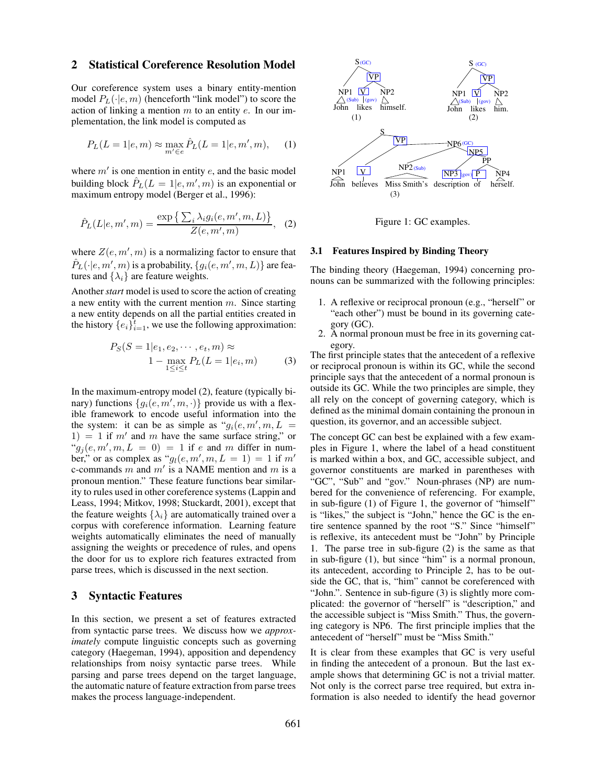### **2 Statistical Coreference Resolution Model**

Our coreference system uses a binary entity-mention model  $P_L(\cdot|e, m)$  (henceforth "link model") to score the action of linking a mention  $m$  to an entity  $e$ . In our implementation, the link model is computed as

$$
P_L(L = 1|e, m) \approx \max_{m' \in e} \hat{P}_L(L = 1|e, m', m),
$$
 (1)

where  $m'$  is one mention in entity  $e$ , and the basic model building block  $\hat{P}_L(L = 1 | e, m', m)$  is an exponential or maximum entropy model (Berger et al., 1996):

$$
\hat{P}_L(L|e, m', m) = \frac{\exp\left\{\sum_i \lambda_i g_i(e, m', m, L)\right\}}{Z(e, m', m)}, \quad (2)
$$

where  $Z(e, m', m)$  is a normalizing factor to ensure that  $\hat P_L(\cdot|e,m',m)$  is a probability,  $\{g_i(e,m',m,L)\}$  are features and  $\{\lambda_i\}$  are feature weights.

Another*start* model is used to score the action of creating a new entity with the current mention  $m$ . Since starting a new entity depends on all the partial entities created in the history  $\{e_i\}_{i=1}^t$ , we use the following approximation:

$$
P_S(S = 1|e_1, e_2, \cdots, e_t, m) \approx 1 - \max_{1 \le i \le t} P_L(L = 1|e_i, m)
$$
 (3)

In the maximum-entropy model (2), feature (typically binary) functions  $\{g_i(e, m', m, \cdot)\}\$  provide us with a flexible framework to encode useful information into the the system: it can be as simple as " $g_i(e, m', m, L)$  $1) = 1$  if m' and m have the same surface string," or  $ig_j(e, m', m, L = 0) = 1$  if e and m differ in number," or as complex as " $g_l(e, m', m, L = 1) = 1$  if  $m'$ c-commands m and m' is a NAME mention and m is a pronoun mention." These feature functions bear similarity to rules used in other coreference systems (Lappin and Leass, 1994; Mitkov, 1998; Stuckardt, 2001), except that the feature weights  $\{\lambda_i\}$  are automatically trained over a corpus with coreference information. Learning feature weights automatically eliminates the need of manually assigning the weights or precedence of rules, and opens the door for us to explore rich features extracted from parse trees, which is discussed in the next section.

### **3 Syntactic Features**

In this section, we present a set of features extracted from syntactic parse trees. We discuss how we *approximately* compute linguistic concepts such as governing category (Haegeman, 1994), apposition and dependency relationships from noisy syntactic parse trees. While parsing and parse trees depend on the target language, the automatic nature of feature extraction from parse trees makes the process language-independent.



Figure 1: GC examples.

#### **3.1 Features Inspired by Binding Theory**

The binding theory (Haegeman, 1994) concerning pronouns can be summarized with the following principles:

- 1. A reflexive or reciprocal pronoun (e.g., "herself" or "each other") must be bound in its governing category (GC).
- 2. A normal pronoun must be free in its governing category.

The first principle states that the antecedent of a reflexive or reciprocal pronoun is within its GC, while the second principle says that the antecedent of a normal pronoun is outside its GC. While the two principles are simple, they all rely on the concept of governing category, which is defined as the minimal domain containing the pronoun in question, its governor, and an accessible subject.

The concept GC can best be explained with a few examples in Figure 1, where the label of a head constituent is marked within a box, and GC, accessible subject, and governor constituents are marked in parentheses with "GC", "Sub" and "gov." Noun-phrases (NP) are numbered for the convenience of referencing. For example, in sub-figure (1) of Figure 1, the governor of "himself" is "likes," the subject is "John," hence the GC is the entire sentence spanned by the root "S." Since "himself" is reflexive, its antecedent must be "John" by Principle 1. The parse tree in sub-figure (2) is the same as that in sub-figure (1), but since "him" is a normal pronoun, its antecedent, according to Principle 2, has to be outside the GC, that is, "him" cannot be coreferenced with "John.". Sentence in sub-figure (3) is slightly more complicated: the governor of "herself" is "description," and the accessible subject is "Miss Smith." Thus, the governing category is NP6. The first principle implies that the antecedent of "herself" must be "Miss Smith."

It is clear from these examples that GC is very useful in finding the antecedent of a pronoun. But the last example shows that determining GC is not a trivial matter. Not only is the correct parse tree required, but extra information is also needed to identify the head governor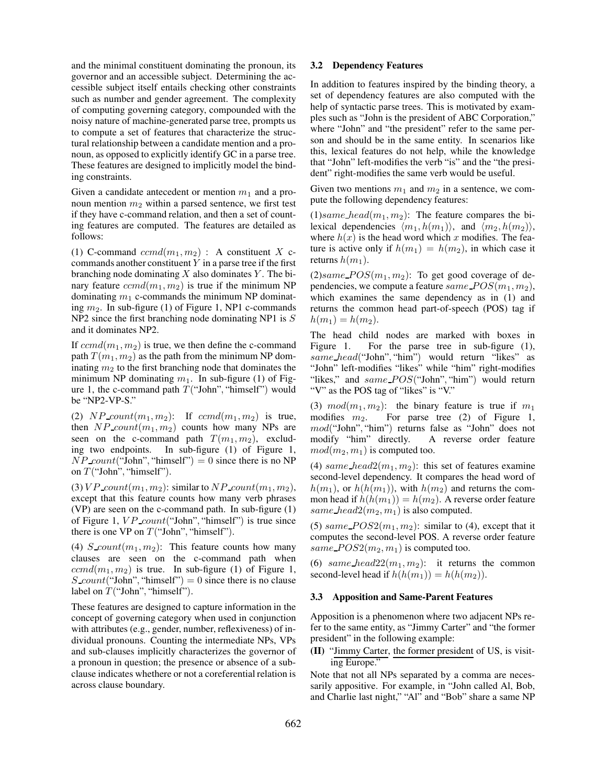and the minimal constituent dominating the pronoun, its governor and an accessible subject. Determining the accessible subject itself entails checking other constraints such as number and gender agreement. The complexity of computing governing category, compounded with the noisy nature of machine-generated parse tree, prompts us to compute a set of features that characterize the structural relationship between a candidate mention and a pronoun, as opposed to explicitly identify GC in a parse tree. These features are designed to implicitly model the binding constraints.

Given a candidate antecedent or mention  $m_1$  and a pronoun mention  $m_2$  within a parsed sentence, we first test if they have c-command relation, and then a set of counting features are computed. The features are detailed as follows:

(1) C-command  $ccmd(m_1, m_2)$ : A constituent X ccommands another constituent  $Y$  in a parse tree if the first branching node dominating  $X$  also dominates  $Y$ . The binary feature  $ccmd(m_1, m_2)$  is true if the minimum NP dominating  $m_1$  c-commands the minimum NP dominating  $m_2$ . In sub-figure (1) of Figure 1, NP1 c-commands NP2 since the first branching node dominating NP1 is S and it dominates NP2.

If  $ccmd(m_1, m_2)$  is true, we then define the c-command path  $T(m_1, m_2)$  as the path from the minimum NP dominating  $m_2$  to the first branching node that dominates the minimum NP dominating  $m_1$ . In sub-figure (1) of Figure 1, the c-command path  $T("John", "himself")$  would be "NP2-VP-S."

(2)  $NP_{count}(m_1, m_2)$ : If  $cmd(m_1, m_2)$  is true, then  $NP\_count(m_1, m_2)$  counts how many NPs are seen on the c-command path  $T(m_1, m_2)$ , excluding two endpoints. In sub-figure (1) of Figure 1,  $NP\_count("John", "himself") = 0$  since there is no NP on  $T("John", "himself").$ 

(3)  $VP_{count}(m_1, m_2)$ : similar to  $NP_{count}(m_1, m_2)$ , except that this feature counts how many verb phrases (VP) are seen on the c-command path. In sub-figure (1) of Figure 1,  $VP\_count("John", "himself")$  is true since there is one VP on  $T("John", "himself").$ 

(4) S\_count $(m_1, m_2)$ : This feature counts how many clauses are seen on the c-command path when  $ccmd(m_1, m_2)$  is true. In sub-figure (1) of Figure 1,  $S_{\text{1}}\text{count}$  ("John", "himself") = 0 since there is no clause label on  $T("John", "himself").$ 

These features are designed to capture information in the concept of governing category when used in conjunction with attributes (e.g., gender, number, reflexiveness) of individual pronouns. Counting the intermediate NPs, VPs and sub-clauses implicitly characterizes the governor of a pronoun in question; the presence or absence of a subclause indicates whethere or not a coreferential relation is across clause boundary.

#### **3.2 Dependency Features**

In addition to features inspired by the binding theory, a set of dependency features are also computed with the help of syntactic parse trees. This is motivated by examples such as "John is the president of ABC Corporation," where "John" and "the president" refer to the same person and should be in the same entity. In scenarios like this, lexical features do not help, while the knowledge that "John" left-modifies the verb "is" and the "the president" right-modifies the same verb would be useful.

Given two mentions  $m_1$  and  $m_2$  in a sentence, we compute the following dependency features:

 $(1)$ same head $(m_1, m_2)$ : The feature compares the bilexical dependencies  $\langle m_1, h(m_1) \rangle$ , and  $\langle m_2, h(m_2) \rangle$ , where  $h(x)$  is the head word which x modifies. The feature is active only if  $h(m_1) = h(m_2)$ , in which case it returns  $h(m_1)$ .

 $(2) same \textit{POS}(m_1, m_2)$ : To get good coverage of dependencies, we compute a feature same  $POS(m_1, m_2)$ , which examines the same dependency as in (1) and returns the common head part-of-speech (POS) tag if  $h(m_1) = h(m_2)$ .

The head child nodes are marked with boxes in Figure 1. For the parse tree in sub-figure (1), same\_head("John", "him") would return "likes" as "John" left-modifies "likes" while "him" right-modifies "likes," and  $same\_POS$  "John", "him") would return "V" as the POS tag of "likes" is "V."

(3)  $mod(m_1, m_2)$ : the binary feature is true if  $m_1$ modifies  $m_2$ . For parse tree (2) of Figure 1, mod("John", "him") returns false as "John" does not modify "him" directly. A reverse order feature  $mod(m_2, m_1)$  is computed too.

(4) same\_head2( $m_1, m_2$ ): this set of features examine second-level dependency. It compares the head word of  $h(m_1)$ , or  $h(h(m_1))$ , with  $h(m_2)$  and returns the common head if  $h(h(m_1)) = h(m_2)$ . A reverse order feature same head  $2(m_2, m_1)$  is also computed.

(5) same  $POS2(m_1, m_2)$ : similar to (4), except that it computes the second-level POS. A reverse order feature same  $POS2(m_2, m_1)$  is computed too.

(6) same head  $22(m_1, m_2)$ : it returns the common second-level head if  $h(h(m_1)) = h(h(m_2))$ .

#### **3.3 Apposition and Same-Parent Features**

Apposition is a phenomenon where two adjacent NPs refer to the same entity, as "Jimmy Carter" and "the former president" in the following example:

### **(II)** "Jimmy Carter, the former president of US, is visiting Europe."

Note that not all NPs separated by a comma are necessarily appositive. For example, in "John called Al, Bob, and Charlie last night," "Al" and "Bob" share a same NP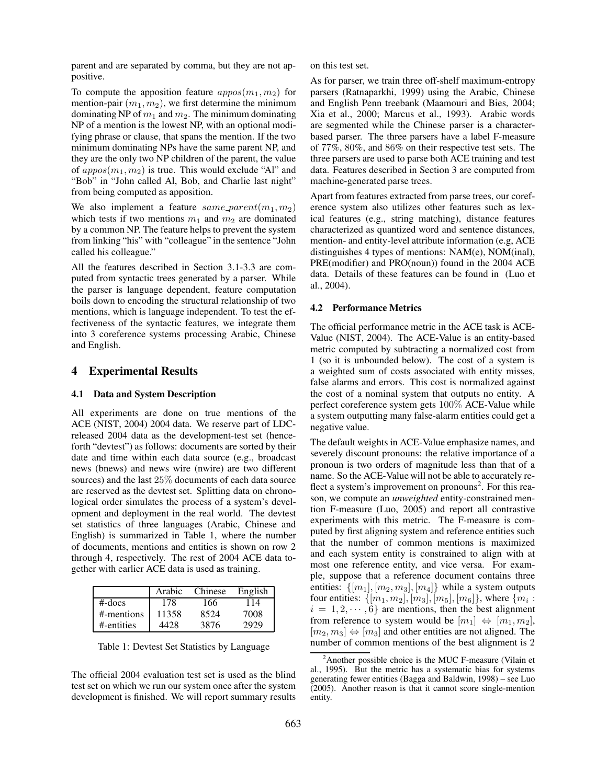parent and are separated by comma, but they are not appositive.

To compute the apposition feature  $\alpha p pos(m_1, m_2)$  for mention-pair  $(m_1, m_2)$ , we first determine the minimum dominating NP of  $m_1$  and  $m_2$ . The minimum dominating NP of a mention is the lowest NP, with an optional modifying phrase or clause, that spans the mention. If the two minimum dominating NPs have the same parent NP, and they are the only two NP children of the parent, the value of  $\alpha ppos(m_1, m_2)$  is true. This would exclude "Al" and "Bob" in "John called Al, Bob, and Charlie last night" from being computed as apposition.

We also implement a feature same parent $(m_1, m_2)$ which tests if two mentions  $m_1$  and  $m_2$  are dominated by a common NP. The feature helps to prevent the system from linking "his" with "colleague" in the sentence "John called his colleague."

All the features described in Section 3.1-3.3 are computed from syntactic trees generated by a parser. While the parser is language dependent, feature computation boils down to encoding the structural relationship of two mentions, which is language independent. To test the effectiveness of the syntactic features, we integrate them into 3 coreference systems processing Arabic, Chinese and English.

### **4 Experimental Results**

#### **4.1 Data and System Description**

All experiments are done on true mentions of the ACE (NIST, 2004) 2004 data. We reserve part of LDCreleased 2004 data as the development-test set (henceforth "devtest") as follows: documents are sorted by their date and time within each data source (e.g., broadcast news (bnews) and news wire (nwire) are two different sources) and the last 25% documents of each data source are reserved as the devtest set. Splitting data on chronological order simulates the process of a system's development and deployment in the real world. The devtest set statistics of three languages (Arabic, Chinese and English) is summarized in Table 1, where the number of documents, mentions and entities is shown on row 2 through 4, respectively. The rest of 2004 ACE data together with earlier ACE data is used as training.

|            | Arabic | Chinese | English |
|------------|--------|---------|---------|
| $#$ -docs  | 178    | 166     | 114     |
| #-mentions | 11358  | 8524    | 7008    |
| #-entities | 4428   | 3876    | 2929    |

Table 1: Devtest Set Statistics by Language

The official 2004 evaluation test set is used as the blind test set on which we run our system once after the system development is finished. We will report summary results on this test set.

As for parser, we train three off-shelf maximum-entropy parsers (Ratnaparkhi, 1999) using the Arabic, Chinese and English Penn treebank (Maamouri and Bies, 2004; Xia et al., 2000; Marcus et al., 1993). Arabic words are segmented while the Chinese parser is a characterbased parser. The three parsers have a label F-measure of 77%, 80%, and 86% on their respective test sets. The three parsers are used to parse both ACE training and test data. Features described in Section 3 are computed from machine-generated parse trees.

Apart from features extracted from parse trees, our coreference system also utilizes other features such as lexical features (e.g., string matching), distance features characterized as quantized word and sentence distances, mention- and entity-level attribute information (e.g, ACE distinguishes 4 types of mentions: NAM(e), NOM(inal), PRE(modifier) and PRO(noun)) found in the 2004 ACE data. Details of these features can be found in (Luo et al., 2004).

### **4.2 Performance Metrics**

The official performance metric in the ACE task is ACE-Value (NIST, 2004). The ACE-Value is an entity-based metric computed by subtracting a normalized cost from 1 (so it is unbounded below). The cost of a system is a weighted sum of costs associated with entity misses, false alarms and errors. This cost is normalized against the cost of a nominal system that outputs no entity. A perfect coreference system gets 100% ACE-Value while a system outputting many false-alarm entities could get a negative value.

The default weights in ACE-Value emphasize names, and severely discount pronouns: the relative importance of a pronoun is two orders of magnitude less than that of a name. So the ACE-Value will not be able to accurately reflect a system's improvement on pronouns<sup>2</sup>. For this reason, we compute an *unweighted* entity-constrained mention F-measure (Luo, 2005) and report all contrastive experiments with this metric. The F-measure is computed by first aligning system and reference entities such that the number of common mentions is maximized and each system entity is constrained to align with at most one reference entity, and vice versa. For example, suppose that a reference document contains three entities:  $\{[m_1], [m_2, m_3], [m_4]\}$  while a system outputs four entities:  $\{[m_1, m_2], [m_3], [m_5], [m_6]\}$ , where  $\{m_i$ :  $i = 1, 2, \dots, 6$  are mentions, then the best alignment from reference to system would be  $[m_1] \Leftrightarrow [m_1, m_2]$ ,  $[m_2, m_3] \Leftrightarrow [m_3]$  and other entities are not aligned. The number of common mentions of the best alignment is 2

 $2^2$ Another possible choice is the MUC F-measure (Vilain et al., 1995). But the metric has a systematic bias for systems generating fewer entities (Bagga and Baldwin, 1998) – see Luo (2005). Another reason is that it cannot score single-mention entity.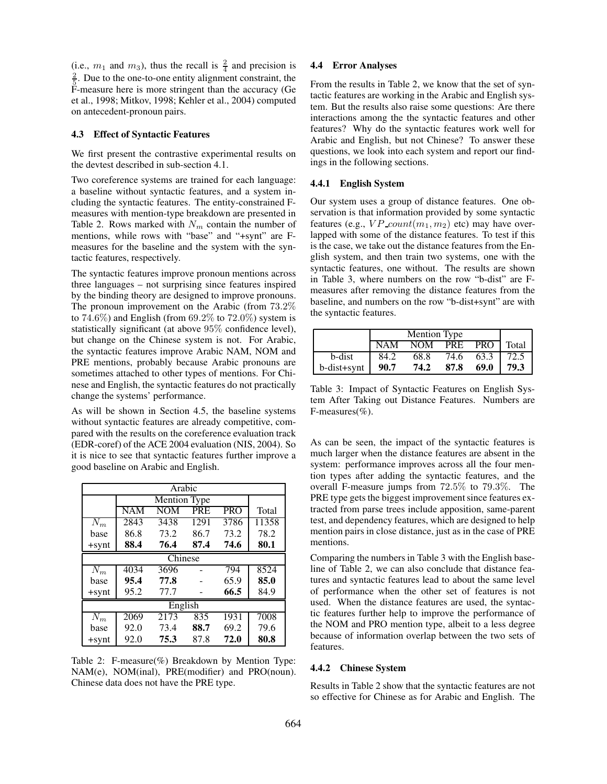(i.e.,  $m_1$  and  $m_3$ ), thus the recall is  $\frac{2}{4}$  and precision is  $\frac{2}{5}$ . Due to the one-to-one entity alignment constraint, the F-measure here is more stringent than the accuracy (Ge et al., 1998; Mitkov, 1998; Kehler et al., 2004) computed on antecedent-pronoun pairs.

### **4.3 Effect of Syntactic Features**

We first present the contrastive experimental results on the devtest described in sub-section 4.1.

Two coreference systems are trained for each language: a baseline without syntactic features, and a system including the syntactic features. The entity-constrained Fmeasures with mention-type breakdown are presented in Table 2. Rows marked with  $N_m$  contain the number of mentions, while rows with "base" and "+synt" are Fmeasures for the baseline and the system with the syntactic features, respectively.

The syntactic features improve pronoun mentions across three languages – not surprising since features inspired by the binding theory are designed to improve pronouns. The pronoun improvement on the Arabic (from 73.2% to 74.6%) and English (from  $69.2\%$  to  $72.0\%$ ) system is statistically significant (at above 95% confidence level), but change on the Chinese system is not. For Arabic, the syntactic features improve Arabic NAM, NOM and PRE mentions, probably because Arabic pronouns are sometimes attached to other types of mentions. For Chinese and English, the syntactic features do not practically change the systems' performance.

As will be shown in Section 4.5, the baseline systems without syntactic features are already competitive, compared with the results on the coreference evaluation track (EDR-coref) of the ACE 2004 evaluation (NIS, 2004). So it is nice to see that syntactic features further improve a good baseline on Arabic and English.

| Arabic           |                         |      |      |            |       |  |
|------------------|-------------------------|------|------|------------|-------|--|
|                  | <b>Mention Type</b>     |      |      |            |       |  |
|                  | $\overline{\text{NAM}}$ | NOM  | PRE  | <b>PRO</b> | Total |  |
| $\overline{N}_m$ | 2843                    | 3438 | 1291 | 3786       | 11358 |  |
| base             | 86.8                    | 73.2 | 86.7 | 73.2       | 78.2  |  |
| $+$ synt         | 88.4                    | 76.4 | 87.4 | 74.6       | 80.1  |  |
| Chinese          |                         |      |      |            |       |  |
| $\overline{N}_m$ | 4034                    | 3696 |      | 794        | 8524  |  |
| base             | 95.4                    | 77.8 |      | 65.9       | 85.0  |  |
| $+$ synt         | 95.2                    | 77.7 |      | 66.5       | 84.9  |  |
| English          |                         |      |      |            |       |  |
| $\overline{N}_m$ | 2069                    | 2173 | 835  | 1931       | 7008  |  |
| base             | 92.0                    | 73.4 | 88.7 | 69.2       | 79.6  |  |
| $+$ synt         | 92.0                    | 75.3 | 87.8 | 72.0       | 80.8  |  |

Table 2: F-measure(%) Breakdown by Mention Type: NAM(e), NOM(inal), PRE(modifier) and PRO(noun). Chinese data does not have the PRE type.

### **4.4 Error Analyses**

From the results in Table 2, we know that the set of syntactic features are working in the Arabic and English system. But the results also raise some questions: Are there interactions among the the syntactic features and other features? Why do the syntactic features work well for Arabic and English, but not Chinese? To answer these questions, we look into each system and report our findings in the following sections.

#### **4.4.1 English System**

Our system uses a group of distance features. One observation is that information provided by some syntactic features (e.g.,  $VP\_count(m_1, m_2)$  etc) may have overlapped with some of the distance features. To test if this is the case, we take out the distance features from the English system, and then train two systems, one with the syntactic features, one without. The results are shown in Table 3, where numbers on the row "b-dist" are Fmeasures after removing the distance features from the baseline, and numbers on the row "b-dist+synt" are with the syntactic features.

|             | <b>Mention Type</b> |      |            |            |       |
|-------------|---------------------|------|------------|------------|-------|
|             | NAM                 | NOM  | <b>PRE</b> | <b>PRO</b> | Total |
| b-dist      | 84.2                | 68.8 | 74.6       | 63.3       | 72.5  |
| b-dist+synt | 90.7                | 74.2 | 87.8       | 69.0       | 79.3  |

Table 3: Impact of Syntactic Features on English System After Taking out Distance Features. Numbers are F-measures(%).

As can be seen, the impact of the syntactic features is much larger when the distance features are absent in the system: performance improves across all the four mention types after adding the syntactic features, and the overall F-measure jumps from 72.5% to 79.3%. The PRE type gets the biggest improvement since features extracted from parse trees include apposition, same-parent test, and dependency features, which are designed to help mention pairs in close distance, just as in the case of PRE mentions.

Comparing the numbers in Table 3 with the English baseline of Table 2, we can also conclude that distance features and syntactic features lead to about the same level of performance when the other set of features is not used. When the distance features are used, the syntactic features further help to improve the performance of the NOM and PRO mention type, albeit to a less degree because of information overlap between the two sets of features.

### **4.4.2 Chinese System**

Results in Table 2 show that the syntactic features are not so effective for Chinese as for Arabic and English. The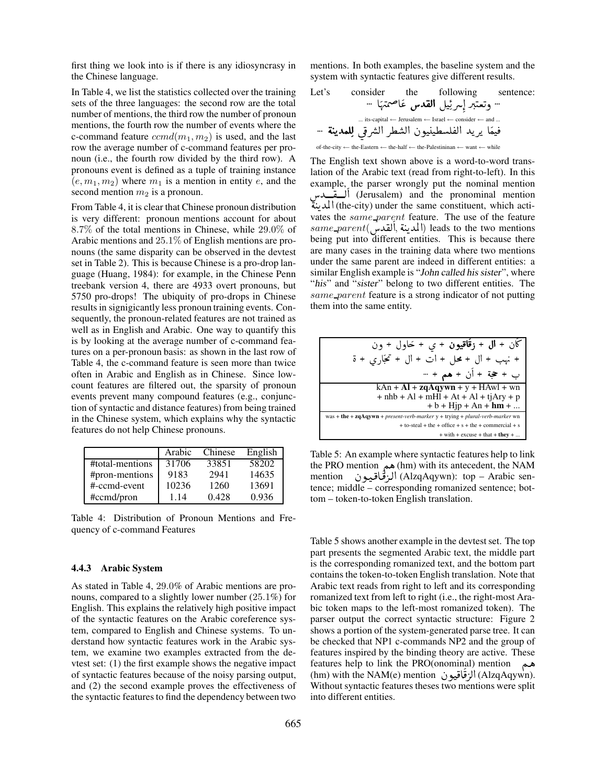first thing we look into is if there is any idiosyncrasy in the Chinese language.

In Table 4, we list the statistics collected over the training sets of the three languages: the second row are the total number of mentions, the third row the number of pronoun mentions, the fourth row the number of events where the c-command feature  $cmd(m_1, m_2)$  is used, and the last row the average number of c-command features per pronoun (i.e., the fourth row divided by the third row). A pronouns event is defined as a tuple of training instance  $(e, m_1, m_2)$  where  $m_1$  is a mention in entity e, and the second mention  $m_2$  is a pronoun.

From Table 4, it is clear that Chinese pronoun distribution is very different: pronoun mentions account for about 8.7% of the total mentions in Chinese, while 29.0% of Arabic mentions and 25.1% of English mentions are pronouns (the same disparity can be observed in the devtest set in Table 2). This is because Chinese is a pro-drop language (Huang, 1984): for example, in the Chinese Penn treebank version 4, there are 4933 overt pronouns, but 5750 pro-drops! The ubiquity of pro-drops in Chinese results in signigicantly less pronoun training events. Consequently, the pronoun-related features are not trained as well as in English and Arabic. One way to quantify this is by looking at the average number of c-command features on a per-pronoun basis: as shown in the last row of Table 4, the c-command feature is seen more than twice often in Arabic and English as in Chinese. Since lowcount features are filtered out, the sparsity of pronoun events prevent many compound features (e.g., conjunction of syntactic and distance features) from being trained in the Chinese system, which explains why the syntactic features do not help Chinese pronouns.

|                 | Arabic | Chinese | English |
|-----------------|--------|---------|---------|
| #total-mentions | 31706  | 33851   | 58202   |
| #pron-mentions  | 9183   | 2941    | 14635   |
| #-ccmd-event    | 10236  | 1260    | 13691   |
| #ccmd/pron      | 1.14   | 0.428   | 0.936   |

Table 4: Distribution of Pronoun Mentions and Frequency of c-command Features

#### **4.4.3 Arabic System**

As stated in Table 4, 29.0% of Arabic mentions are pronouns, compared to a slightly lower number (25.1%) for English. This explains the relatively high positive impact of the syntactic features on the Arabic coreference system, compared to English and Chinese systems. To understand how syntactic features work in the Arabic system, we examine two examples extracted from the devtest set: (1) the first example shows the negative impact of syntactic features because of the noisy parsing output, and (2) the second example proves the effectiveness of the syntactic features to find the dependency between two

mentions. In both examples, the baseline system and the system with syntactic features give different results.

Let's consider the following sentence: . . . A î DÖÞA « Y ®Ë@ ÉJ K Qå@ Q . Jª Kð . . . ... its-capital ← Jerusalem ← Israel ← consider ← and ... . . . é JK YÒÊË ú ¯Qå Ë@ Q¢Ë @ àñJ J ¢Ê ®Ë@ YK QK A ÒJ ¯ of-the-city ← the-Eastern ← the-half ← the-Palestininan ← want ← while

The English text shown above is a word-to-word translation of the Arabic text (read from right-to-left). In this example, the parser wrongly put the nominal mention البقيدس) (Jerusalem) and the pronominal mention ر<br>ة Í ä المدينة) (the-city) under the same constituent, which acti-י<br>י  $\ddot{\cdot}$ vates the same\_parent feature. The use of the feature  $same\_parent(\underbrace{\textcolor{red}{\textbf{[t]}}}_{\textcolor{red}{\textbf{[t]}}}, \underbrace{\textcolor{red}{\textbf{[t]}}}_{\textcolor{red}{\textbf{[t]}}}) \text{ leads to the two mentions}$ ,<br>2 シイ ر<br>تە :  $\ddot{ }$ being put into different entities. This is because there are many cases in the training data where two mentions under the same parent are indeed in different entities: a similar English example is "John called his sister", where "his" and "sister" belong to two different entities. The same parent feature is a strong indicator of not putting them into the same entity.

$$
\frac{1}{\sqrt{1 + \frac{1}{\sqrt{2}}}} + \frac{1}{\sqrt{2}} + \frac{1}{\sqrt{2}} + \frac{1}{\sqrt{2}} + \frac{1}{\sqrt{2}} + \frac{1}{\sqrt{2}} + \frac{1}{\sqrt{2}} + \frac{1}{\sqrt{2}} + \frac{1}{\sqrt{2}} + \frac{1}{\sqrt{2}} + \frac{1}{\sqrt{2}} + \frac{1}{\sqrt{2}} + \frac{1}{\sqrt{2}} + \frac{1}{\sqrt{2}} + \frac{1}{\sqrt{2}} + \frac{1}{\sqrt{2}} + \frac{1}{\sqrt{2}} + \frac{1}{\sqrt{2}} + \frac{1}{\sqrt{2}} + \frac{1}{\sqrt{2}} + \frac{1}{\sqrt{2}} + \frac{1}{\sqrt{2}} + \frac{1}{\sqrt{2}} + \frac{1}{\sqrt{2}} + \frac{1}{\sqrt{2}} + \frac{1}{\sqrt{2}} + \frac{1}{\sqrt{2}} + \frac{1}{\sqrt{2}} + \frac{1}{\sqrt{2}} + \frac{1}{\sqrt{2}} + \frac{1}{\sqrt{2}} + \frac{1}{\sqrt{2}} + \frac{1}{\sqrt{2}} + \frac{1}{\sqrt{2}} + \frac{1}{\sqrt{2}} + \frac{1}{\sqrt{2}} + \frac{1}{\sqrt{2}} + \frac{1}{\sqrt{2}} + \frac{1}{\sqrt{2}} + \frac{1}{\sqrt{2}} + \frac{1}{\sqrt{2}} + \frac{1}{\sqrt{2}} + \frac{1}{\sqrt{2}} + \frac{1}{\sqrt{2}} + \frac{1}{\sqrt{2}} + \frac{1}{\sqrt{2}} + \frac{1}{\sqrt{2}} + \frac{1}{\sqrt{2}} + \frac{1}{\sqrt{2}} + \frac{1}{\sqrt{2}} + \frac{1}{\sqrt{2}} + \frac{1}{\sqrt{2}} + \frac{1}{\sqrt{2}} + \frac{1}{\sqrt{2}} + \frac{1}{\sqrt{2}} + \frac{1}{\sqrt{2}} + \frac{1}{\sqrt{2}} + \frac{1}{\sqrt{2}} + \frac{1}{\sqrt{2}} + \frac{1}{\sqrt{2}} + \frac{1}{\sqrt{2}} + \frac{1}{\sqrt{2}} + \frac{1}{\sqrt{2}} + \frac{1}{\sqrt{2}} + \frac{1}{\sqrt{2}} + \frac{1}{\sqrt{2}} + \frac{1}{\sqrt{2}} + \frac{1}{\sqrt{2}} + \
$$

Table 5: An example where syntactic features help to link the PRO mention هم (hm) with its antecedent, the NAM<br>الزقاقيبون (AlzqAqywn): top – Arabic sen-مشاه المستقيم المستقيمة المستقيمة المستقيمة المستقيمة المستقيمة المستقبل المستقبل المستقبل المستقبة المستقبل ا<br>CAlzqAqywn): top – Arabic sen- $\hat{z}$ ا<br>ق  $\frac{1}{2}$ }<br>و tence; middle – corresponding romanized sentence; bottom – token-to-token English translation.

Table 5 shows another example in the devtest set. The top part presents the segmented Arabic text, the middle part is the corresponding romanized text, and the bottom part contains the token-to-token English translation. Note that Arabic text reads from right to left and its corresponding romanized text from left to right (i.e., the right-most Arabic token maps to the left-most romanized token). The parser output the correct syntactic structure: Figure 2 shows a portion of the system-generated parse tree. It can be checked that NP1 c-commands NP2 and the group of features inspired by the binding theory are active. These features help to link the PRO(onominal) mention leading hep to thin the TRO(onominal) inendon<br>(AlzqAqywn). الزقاقيون (AlzqAqywn).  $\ddot{\cdot}$  Without syntactic features theses two mentions were split ֕<br>ۊ  $\ddot{\dot{\ }}$ ة<br>ق into different entities.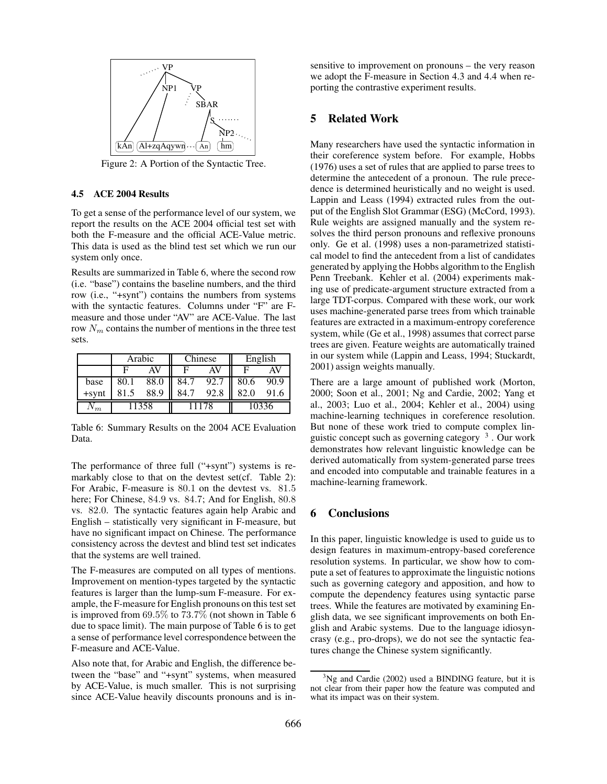

Figure 2: A Portion of the Syntactic Tree.

### **4.5 ACE 2004 Results**

To get a sense of the performance level of our system, we report the results on the ACE 2004 official test set with both the F-measure and the official ACE-Value metric. This data is used as the blind test set which we run our system only once.

Results are summarized in Table 6, where the second row (i.e. "base") contains the baseline numbers, and the third row (i.e., "+synt") contains the numbers from systems with the syntactic features. Columns under "F" are Fmeasure and those under "AV" are ACE-Value. The last row  $N_m$  contains the number of mentions in the three test sets.

|          | Arabic |      | Chinese |      | English |      |
|----------|--------|------|---------|------|---------|------|
|          |        | AV   | ь       | AΝ   |         | AV   |
| base     | 80.1   | 88.0 | 84.7    | 92.7 | 80.6    | 90.9 |
| $+$ synt | 81.5   | 88.9 | 84.7    | 92.8 | 82.0    | 91.6 |
|          | 11358  |      | 11178   |      | 10336   |      |

Table 6: Summary Results on the 2004 ACE Evaluation Data.

The performance of three full ("+synt") systems is remarkably close to that on the devtest set(cf. Table 2): For Arabic, F-measure is 80.1 on the devtest vs. 81.5 here; For Chinese, 84.9 vs. 84.7; And for English, 80.8 vs. 82.0. The syntactic features again help Arabic and English – statistically very significant in F-measure, but have no significant impact on Chinese. The performance consistency across the devtest and blind test set indicates that the systems are well trained.

The F-measures are computed on all types of mentions. Improvement on mention-types targeted by the syntactic features is larger than the lump-sum F-measure. For example, the F-measure for English pronouns on this test set is improved from 69.5% to 73.7% (not shown in Table 6 due to space limit). The main purpose of Table 6 is to get a sense of performance level correspondence between the F-measure and ACE-Value.

Also note that, for Arabic and English, the difference between the "base" and "+synt" systems, when measured by ACE-Value, is much smaller. This is not surprising since ACE-Value heavily discounts pronouns and is insensitive to improvement on pronouns – the very reason we adopt the F-measure in Section 4.3 and 4.4 when reporting the contrastive experiment results.

## **5 Related Work**

Many researchers have used the syntactic information in their coreference system before. For example, Hobbs (1976) uses a set of rules that are applied to parse trees to determine the antecedent of a pronoun. The rule precedence is determined heuristically and no weight is used. Lappin and Leass (1994) extracted rules from the output of the English Slot Grammar (ESG) (McCord, 1993). Rule weights are assigned manually and the system resolves the third person pronouns and reflexive pronouns only. Ge et al. (1998) uses a non-parametrized statistical model to find the antecedent from a list of candidates generated by applying the Hobbs algorithm to the English Penn Treebank. Kehler et al. (2004) experiments making use of predicate-argument structure extracted from a large TDT-corpus. Compared with these work, our work uses machine-generated parse trees from which trainable features are extracted in a maximum-entropy coreference system, while (Ge et al., 1998) assumes that correct parse trees are given. Feature weights are automatically trained in our system while (Lappin and Leass, 1994; Stuckardt, 2001) assign weights manually.

There are a large amount of published work (Morton, 2000; Soon et al., 2001; Ng and Cardie, 2002; Yang et al., 2003; Luo et al., 2004; Kehler et al., 2004) using machine-learning techniques in coreference resolution. But none of these work tried to compute complex linguistic concept such as governing category <sup>3</sup>. Our work demonstrates how relevant linguistic knowledge can be derived automatically from system-generated parse trees and encoded into computable and trainable features in a machine-learning framework.

### **6 Conclusions**

In this paper, linguistic knowledge is used to guide us to design features in maximum-entropy-based coreference resolution systems. In particular, we show how to compute a set of features to approximate the linguistic notions such as governing category and apposition, and how to compute the dependency features using syntactic parse trees. While the features are motivated by examining English data, we see significant improvements on both English and Arabic systems. Due to the language idiosyncrasy (e.g., pro-drops), we do not see the syntactic features change the Chinese system significantly.

 $3$ Ng and Cardie (2002) used a BINDING feature, but it is not clear from their paper how the feature was computed and what its impact was on their system.